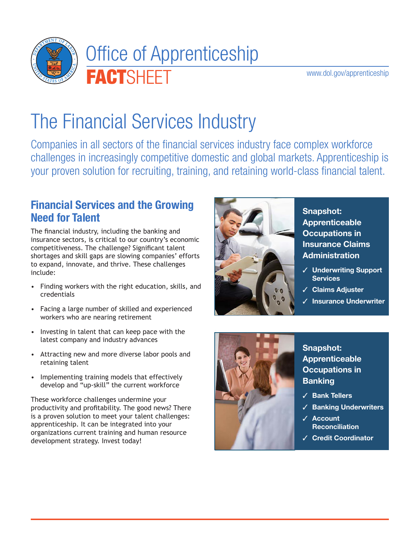

www.dol.gov/apprenticeship

# The Financial Services Industry

Companies in all sectors of the financial services industry face complex workforce challenges in increasingly competitive domestic and global markets. Apprenticeship is your proven solution for recruiting, training, and retaining world-class financial talent.

#### **Financial Services and the Growing Need for Talent**

The financial industry, including the banking and insurance sectors, is critical to our country's economic competitiveness. The challenge? Significant talent shortages and skill gaps are slowing companies' efforts to expand, innovate, and thrive. These challenges include:

- Finding workers with the right education, skills, and credentials
- Facing a large number of skilled and experienced workers who are nearing retirement
- Investing in talent that can keep pace with the latest company and industry advances
- Attracting new and more diverse labor pools and retaining talent
- Implementing training models that effectively develop and "up-skill" the current workforce

These workforce challenges undermine your productivity and profitability. The good news? There is a proven solution to meet your talent challenges: apprenticeship. It can be integrated into your organizations current training and human resource development strategy. Invest today!



**Snapshot: Apprenticeable Occupations in Insurance Claims Administration**

- ✓ **Underwriting Support Services**
- ✓ **Claims Adjuster**
- ✓ **Insurance Underwriter**



**Snapshot: Apprenticeable Occupations in Banking**

- ✓ **Bank Tellers**
- ✓ **Banking Underwriters**
- ✓ **Account Reconciliation**
- ✓ **Credit Coordinator**